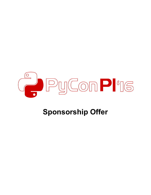

# **Sponsorship Offer**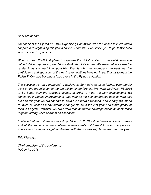#### *Dear Sir/Madam,*

*On behalf of the PyCon PL 2016 Organising Committee we are pleased to invite you to cooperate in organising this year's edition. Therefore, I would like you to get familiarised with our offer to sponsors.*

*When* in year 2008 first plans to organise the Polish edition of the well-known and *valued PyCon appeared, we did not think about its future. We were rather focused to render it as successful as possible. That is why we appreciate the trust that the participants and sponsors of the past seven editions have put in us. Thanks to them the Polish PyCon has become a fixed event in the Python calendar.*

*The success we have managed to achieve so far motivates us to further, even harder work on the organisation of the 9th edition of conference. We want the PyCon PL 2016 to be better than the previous events. In order to meet the new expectations, we constantly introduce improvements. Last year all the 520 conference passes were sold out and this year we are capable to have even more attendees. Additionally, we intend to invite at least as many international guests as in the last year and make plenty of talks in English. However, we are aware that the further development of the conference requires strong, solid partners and sponsors.*

*I believe that your share in supporting PyCon PL 2016 will be beneficial to both parties and at the same time the conference participants will benefit from our cooperation. Therefore, I invite you to get familiarised with the sponsorship terms we offer this year.*

*Filip Kłębczyk*

*Chief organiser of the conference PyCon PL 2016*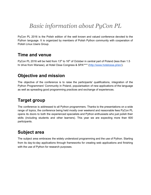# *Basic information about PyCon PL*

PyCon PL 2016 is the Polish edition of the well known and valued conference devoted to the Python language. It is organized by members of Polish Python community with cooperation of Polish Linux Users Group.

### **Time and venue**

PyCon PL 2016 will be held from 13<sup>th</sup> to 16<sup>th</sup> of October in central part of Poland (less than 1.5 hr drive from Warsaw), at Hotel Ossa Congress & SPA\*\*\*\* [\(http://www.hotelossa.pl/en/\)](http://www.hotelossa.pl/en/).

### **Objective and mission**

The objective of the conference is to raise the participants' qualifications, integration of the Python Programmers' Community in Poland, popularisation of new applications of the language as well as spreading good programming practices and exchange of experiences.

## **Target group**

The conference is addressed to all Python programmers. Thanks to the presentations on a wide range of topics, the conference being held mostly over weekend and reasonable fees PyCon PL opens its doors to both the experienced specialists and Python enthusiasts who just polish their skills (including students and other learners). This year we are expecting more than 600 participants.

## **Subject area**

The subject area embraces the widely understood programming and the use of Python. Starting from its day-to-day applications through frameworks for creating web applications and finishing with the use of Python for research purposes.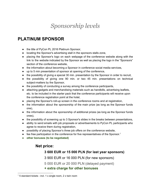# *Sponsorship levels*

### **PLATINUM SPONSOR**

- the title of PyCon PL 2016 Platinum Sponsor,
- locating the Sponsor's advertising stall in the sponsors stalls zone,
- placing the Sponsor's logo on each webpage of the conference website along with the link to the website indicated by the Sponsor as well as placing the logo in the "Sponsors" section of the conference website,
- the information about becoming a Sponsor in conference social media services,
- up to 5 min presentation of sponsor at opening of the conference,
- the possibility of giving a special 30 min. presentation by the Sponsor in order to recruit,
- the possibility of giving one 90 min. or two 45 min. presentations on technical subject-matters by the Sponsor,
- the possibility of conducting a survey among the conference participants,
- attaching gadgets and merchandising materials such as handbills, advertising leaflets, etc. to be included in the starter pack that the conference participants will receive upon the conference registration point at the hotel,
- placing the Sponsor's roll-up screen in the conference rooms and at registration,
- the information about the sponsorship of the main prize (as long as the Sponsor funds one),
- the information about the sponsorship of additional prizes (as long as the Sponsor funds ones),
- the possibility of screening up to 3 Sponsor's slides in the breaks between presentations,
- ability to send emails with job proposals or advertisements to PyCon PL participants who agree to receive them during registration,
- possibility of placing Sponsor's three job offers on the conference website,
- $\bullet$  fee free participation in the conference for five representatives of the Sponsor.<sup>1</sup>
- **● other bonuses (to be negotiated)**

#### **Net price:**

#### **3 600 EUR or 15 000 PLN (for last year sponsors)**

3 900 EUR or 16 000 PLN (for new sponsors)

5 000 EUR or 20 000 PLN (delayed payment)

**+ extra charge for other bonuses**

 $1$  5 standard tickets - incl. 1 x single room, 2 x twin room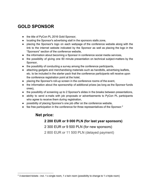## **GOLD SPONSOR**

- the title of PyCon PL 2016 Gold Sponsor,
- locating the Sponsor's advertising stall in the sponsors stalls zone,
- placing the Sponsor's logo on each webpage of the conference website along with the link to the internet website indicated by the Sponsor as well as placing the logo in the "Sponsors" section of the conference website,
- the information about becoming a Sponsor in conference social media services,
- the possibility of giving one 60 minute presentation on technical subject-matters by the Sponsor,
- the possibility of conducting a survey among the conference participants,
- attaching gadgets and merchandising materials such as handbills, advertising leaflets, etc. to be included in the starter pack that the conference participants will receive upon the conference registration point at the hotel,
- placing the Sponsor's roll-up screen in the conference rooms of the event,
- the information about the sponsorship of additional prizes (as long as the Sponsor funds ones),
- the possibility of screening up to 2 Sponsor's slides in the breaks between presentations,
- ability to send e-mails with job proposals or advertisements to PyCon PL participants who agree to receive them during registration,
- possibility of placing Sponsor's one job offer on the conference website,
- $\bullet$  fee free participation in the conference for three representatives of the Sponsor.<sup>2</sup>

#### **Net price:**

#### **2 200 EUR or 9 000 PLN (for last year sponsors)**

2 300 EUR or 9 500 PLN (for new sponsors)

2 800 EUR or 11 500 PLN (delayed payment)

<sup>&</sup>lt;sup>2</sup> 3 standard tickets - incl. 1 x single room, 1 x twin room (possibility to change to 1 x triple room)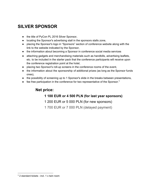## **SILVER SPONSOR**

- the title of PyCon PL 2016 Silver Sponsor,
- locating the Sponsor's advertising stall in the sponsors stalls zone,
- placing the Sponsor's logo in "Sponsors" section of conference website along with the link to the website indicated by the Sponsor,
- the information about becoming a Sponsor in conference social media services
- attaching gadgets and merchandising materials such as handbills, advertising leaflets, etc. to be included in the starter pack that the conference participants will receive upon the conference registration point at the hotel,
- placing two Sponsor's roll-up screens in the conference rooms of the event,
- the information about the sponsorship of additional prizes (as long as the Sponsor funds ones),
- the possibility of screening up to 1 Sponsor's slide in the breaks between presentations,
- $\bullet$  fee free participation in the conference for two representative of the Sponsor.<sup>3</sup>

### **Net price:**

#### **1 100 EUR or 4 500 PLN (for last year sponsors)**

1 200 EUR or 5 000 PLN (for new sponsors)

1 700 EUR or 7 000 PLN (delayed payment)

 $3$  2 standard tickets - incl. 1 x twin room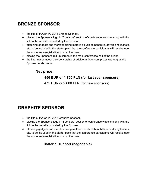# **BRONZE SPONSOR**

- the title of PyCon PL 2016 Bronze Sponsor,
- placing the Sponsor's logo in "Sponsors" section of conference website along with the link to the website indicated by the Sponsor,
- attaching gadgets and merchandising materials such as handbills, advertising leaflets, etc. to be included in the starter pack that the conference participants will receive upon the conference registration point at the hotel,
- placing the Sponsor's roll-up screen in the main conference hall of the event,
- the information about the sponsorship of additional Sponsors prizes (as long as the Sponsor funds ones).

## **Net price: 450 EUR or 1 750 PLN (for last year sponsors)** 475 EUR or 2 000 PLN (for new sponsors)

## **GRAPHITE SPONSOR**

- the title of PyCon PL 2016 Graphite Sponsor,
- placing the Sponsor's logo in "Sponsors" section of conference website along with the link to the website indicated by the Sponsor,
- attaching gadgets and merchandising materials such as handbills, advertising leaflets, etc. to be included in the starter pack that the conference participants will receive upon the conference registration point at the hotel,

#### **Material support (negotiable)**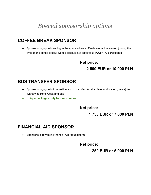# *Special sponsorship options*

## **COFFEE BREAK SPONSOR**

● Sponsor's logotype branding in the space where coffee break will be served (during the time of one coffee break). Coffee break is available to all PyCon PL participants.

> **Net price: 2 500 EUR or 10 000 PLN**

### **BUS TRANSFER SPONSOR**

- Sponsor's logotype in information about transfer (for attendees and invited guests) from Warsaw to Hotel Ossa and back
- **● Unique package only for one sponsor**

**Net price:**

### **1 750 EUR or 7 000 PLN**

### **FINANCIAL AID SPONSOR**

● Sponsor's logotype in Financial Aid request form

**Net price:**

**1 250 EUR or 5 000 PLN**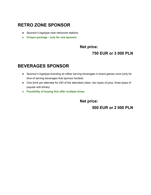## **RETRO ZONE SPONSOR**

- Sponsor's logotype near retrozone stations
- **● Unique package only for one sponsor**

#### **Net price:**

#### **750 EUR or 3 000 PLN**

### **BEVERAGES SPONSOR**

- Sponsor's logotype branding at rollbar serving beverages in board games zone (only for time of serving beverages that sponsor funded)
- One drink per attendee for 240 of the attendees (beer, two types of juice, three types of popular soft drinks)
- **● Possibility of buying this offer multiple times**

**Net price:**

**500 EUR or 2 000 PLN**